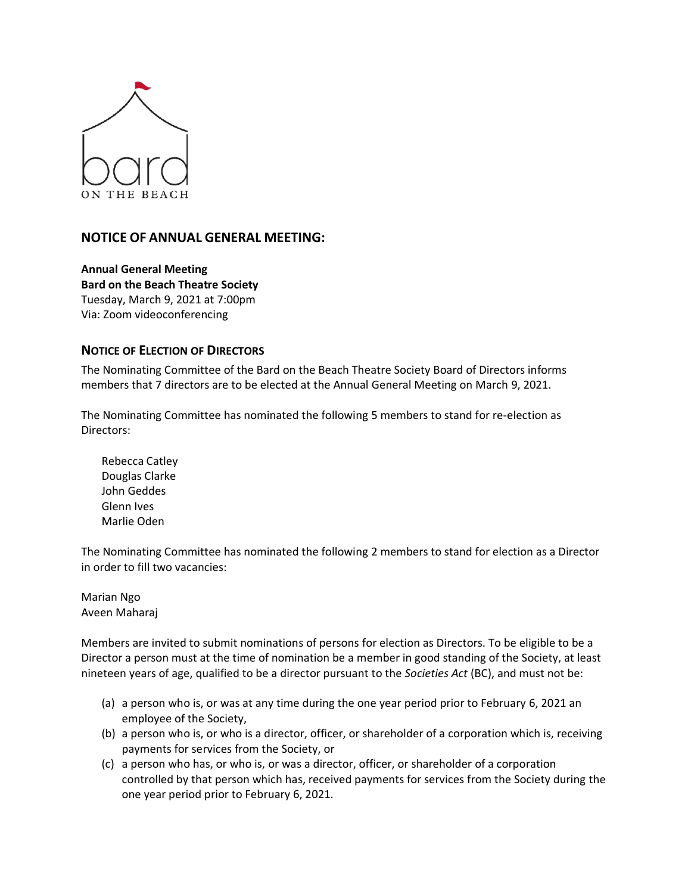

## **NOTICE OF ANNUAL GENERAL MEETING:**

**Annual General Meeting Bard on the Beach Theatre Society** Tuesday, March 9, 2021 at 7:00pm Via: Zoom videoconferencing

## **NOTICE OF ELECTION OF DIRECTORS**

The Nominating Committee of the Bard on the Beach Theatre Society Board of Directors informs members that 7 directors are to be elected at the Annual General Meeting on March 9, 2021.

The Nominating Committee has nominated the following 5 members to stand for re-election as Directors:

Rebecca Catley Douglas Clarke John Geddes Glenn Ives Marlie Oden

The Nominating Committee has nominated the following 2 members to stand for election as a Director in order to fill two vacancies:

Marian Ngo Aveen Maharaj

Members are invited to submit nominations of persons for election as Directors. To be eligible to be a Director a person must at the time of nomination be a member in good standing of the Society, at least nineteen years of age, qualified to be a director pursuant to the *Societies Act* (BC), and must not be:

- (a) a person who is, or was at any time during the one year period prior to February 6, 2021 an employee of the Society,
- (b) a person who is, or who is a director, officer, or shareholder of a corporation which is, receiving payments for services from the Society, or
- (c) a person who has, or who is, or was a director, officer, or shareholder of a corporation controlled by that person which has, received payments for services from the Society during the one year period prior to February 6, 2021.